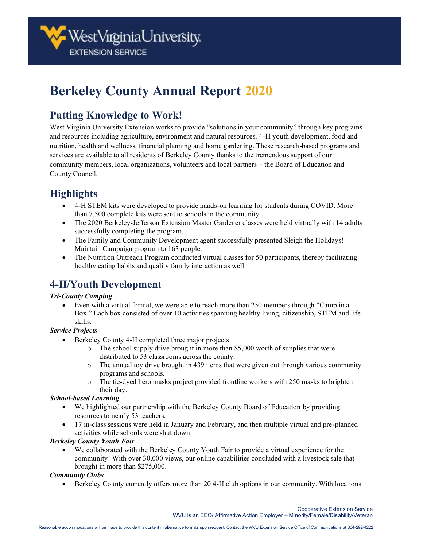# **Berkeley County Annual Report 2020**

### **Putting Knowledge to Work!**

West Virginia University Extension works to provide "solutions in your community" through key programs and resources including agriculture, environment and natural resources, 4-H youth development, food and nutrition, health and wellness, financial planning and home gardening. These research-based programs and services are available to all residents of Berkeley County thanks to the tremendous support of our community members, local organizations, volunteers and local partners – the Board of Education and County Council.

# **Highlights**

- 4-H STEM kits were developed to provide hands-on learning for students during COVID. More than 7,500 complete kits were sent to schools in the community.
- The 2020 Berkeley-Jefferson Extension Master Gardener classes were held virtually with 14 adults successfully completing the program.
- The Family and Community Development agent successfully presented Sleigh the Holidays! Maintain Campaign program to 163 people.
- The Nutrition Outreach Program conducted virtual classes for 50 participants, thereby facilitating healthy eating habits and quality family interaction as well.

## **4-H/Youth Development**

#### *Tri-County Camping*

• Even with a virtual format, we were able to reach more than 250 members through "Camp in a Box." Each box consisted of over 10 activities spanning healthy living, citizenship, STEM and life skills.

#### *Service Projects*

- Berkeley County 4-H completed three major projects:
	- $\circ$  The school supply drive brought in more than \$5,000 worth of supplies that were distributed to 53 classrooms across the county.
	- o The annual toy drive brought in 439 items that were given out through various community programs and schools.
	- o The tie-dyed hero masks project provided frontline workers with 250 masks to brighten their day.

#### *School-based Learning*

- We highlighted our partnership with the Berkeley County Board of Education by providing resources to nearly 53 teachers.
- 17 in-class sessions were held in January and February, and then multiple virtual and pre-planned activities while schools were shut down.

#### *Berkeley County Youth Fair*

• We collaborated with the Berkeley County Youth Fair to provide a virtual experience for the community! With over 30,000 views, our online capabilities concluded with a livestock sale that brought in more than \$275,000.

#### *Community Clubs*

• Berkeley County currently offers more than 20 4-H club options in our community. With locations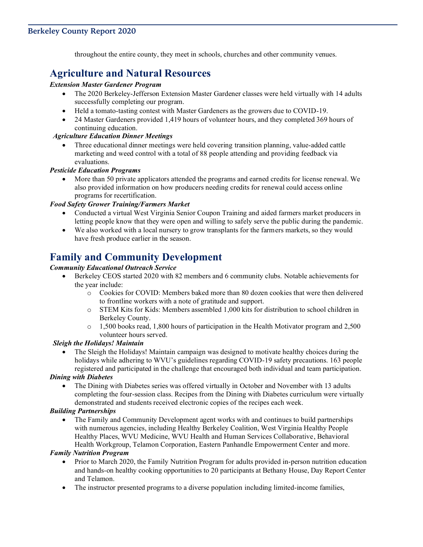throughout the entire county, they meet in schools, churches and other community venues.

### **Agriculture and Natural Resources**

#### *Extension Master Gardener Program*

- The 2020 Berkeley-Jefferson Extension Master Gardener classes were held virtually with 14 adults successfully completing our program.
- Held a tomato-tasting contest with Master Gardeners as the growers due to COVID-19.
- 24 Master Gardeners provided 1,419 hours of volunteer hours, and they completed 369 hours of continuing education.

#### *Agriculture Education Dinner Meetings*

• Three educational dinner meetings were held covering transition planning, value-added cattle marketing and weed control with a total of 88 people attending and providing feedback via evaluations.

#### *Pesticide Education Programs*

• More than 50 private applicators attended the programs and earned credits for license renewal. We also provided information on how producers needing credits for renewal could access online programs for recertification.

#### *Food Safety Grower Training/Farmers Market*

- Conducted a virtual West Virginia Senior Coupon Training and aided farmers market producers in letting people know that they were open and willing to safely serve the public during the pandemic.
- We also worked with a local nursery to grow transplants for the farmers markets, so they would have fresh produce earlier in the season.

### **Family and Community Development**

#### *Community Educational Outreach Service*

- Berkeley CEOS started 2020 with 82 members and 6 community clubs. Notable achievements for the year include:
	- o Cookies for COVID: Members baked more than 80 dozen cookies that were then delivered to frontline workers with a note of gratitude and support.
	- o STEM Kits for Kids: Members assembled 1,000 kits for distribution to school children in Berkeley County.
	- o 1,500 books read, 1,800 hours of participation in the Health Motivator program and 2,500 volunteer hours served.

#### *Sleigh the Holidays! Maintain*

• The Sleigh the Holidays! Maintain campaign was designed to motivate healthy choices during the holidays while adhering to WVU's guidelines regarding COVID-19 safety precautions. 163 people registered and participated in the challenge that encouraged both individual and team participation.

#### *Dining with Diabetes*

• The Dining with Diabetes series was offered virtually in October and November with 13 adults completing the four-session class. Recipes from the Dining with Diabetes curriculum were virtually demonstrated and students received electronic copies of the recipes each week.

#### *Building Partnerships*

• The Family and Community Development agent works with and continues to build partnerships with numerous agencies, including Healthy Berkeley Coalition, West Virginia Healthy People Healthy Places, WVU Medicine, WVU Health and Human Services Collaborative, Behavioral Health Workgroup, Telamon Corporation, Eastern Panhandle Empowerment Center and more.

#### *Family Nutrition Program*

- Prior to March 2020, the Family Nutrition Program for adults provided in-person nutrition education and hands-on healthy cooking opportunities to 20 participants at Bethany House, Day Report Center and Telamon.
- The instructor presented programs to a diverse population including limited-income families,